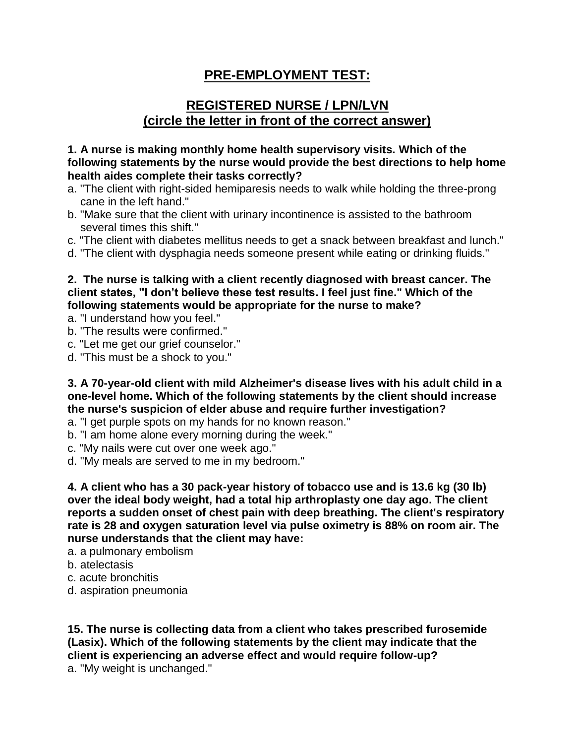# **PRE-EMPLOYMENT TEST:**

# **REGISTERED NURSE / LPN/LVN (circle the letter in front of the correct answer)**

**1. A nurse is making monthly home health supervisory visits. Which of the following statements by the nurse would provide the best directions to help home health aides complete their tasks correctly?** 

- a. "The client with right-sided hemiparesis needs to walk while holding the three-prong cane in the left hand."
- b. "Make sure that the client with urinary incontinence is assisted to the bathroom several times this shift."
- c. "The client with diabetes mellitus needs to get a snack between breakfast and lunch."
- d. "The client with dysphagia needs someone present while eating or drinking fluids."

**2. The nurse is talking with a client recently diagnosed with breast cancer. The client states, "I don't believe these test results. I feel just fine." Which of the following statements would be appropriate for the nurse to make?** 

a. "I understand how you feel."

- b. "The results were confirmed."
- c. "Let me get our grief counselor."
- d. "This must be a shock to you."

**3. A 70-year-old client with mild Alzheimer's disease lives with his adult child in a one-level home. Which of the following statements by the client should increase the nurse's suspicion of elder abuse and require further investigation?** 

- a. "I get purple spots on my hands for no known reason."
- b. "I am home alone every morning during the week."
- c. "My nails were cut over one week ago."
- d. "My meals are served to me in my bedroom."

**4. A client who has a 30 pack-year history of tobacco use and is 13.6 kg (30 lb) over the ideal body weight, had a total hip arthroplasty one day ago. The client reports a sudden onset of chest pain with deep breathing. The client's respiratory rate is 28 and oxygen saturation level via pulse oximetry is 88% on room air. The nurse understands that the client may have:** 

- a. a pulmonary embolism
- b. atelectasis
- c. acute bronchitis
- d. aspiration pneumonia

**15. The nurse is collecting data from a client who takes prescribed furosemide (Lasix). Which of the following statements by the client may indicate that the client is experiencing an adverse effect and would require follow-up?** a. "My weight is unchanged."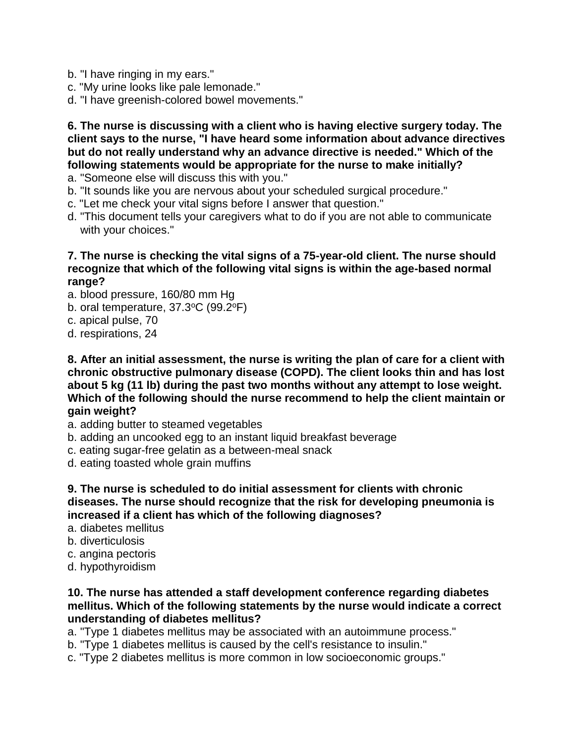- b. "I have ringing in my ears."
- c. "My urine looks like pale lemonade."
- d. "I have greenish-colored bowel movements."

**6. The nurse is discussing with a client who is having elective surgery today. The client says to the nurse, "I have heard some information about advance directives but do not really understand why an advance directive is needed." Which of the following statements would be appropriate for the nurse to make initially?** 

- a. "Someone else will discuss this with you."
- b. "It sounds like you are nervous about your scheduled surgical procedure."
- c. "Let me check your vital signs before I answer that question."
- d. "This document tells your caregivers what to do if you are not able to communicate with your choices."

## **7. The nurse is checking the vital signs of a 75-year-old client. The nurse should recognize that which of the following vital signs is within the age-based normal range?**

- a. blood pressure, 160/80 mm Hg
- b. oral temperature, 37.3°C (99.2°F)
- c. apical pulse, 70
- d. respirations, 24

**8. After an initial assessment, the nurse is writing the plan of care for a client with chronic obstructive pulmonary disease (COPD). The client looks thin and has lost about 5 kg (11 lb) during the past two months without any attempt to lose weight. Which of the following should the nurse recommend to help the client maintain or gain weight?** 

- a. adding butter to steamed vegetables
- b. adding an uncooked egg to an instant liquid breakfast beverage
- c. eating sugar-free gelatin as a between-meal snack
- d. eating toasted whole grain muffins

**9. The nurse is scheduled to do initial assessment for clients with chronic diseases. The nurse should recognize that the risk for developing pneumonia is increased if a client has which of the following diagnoses?** 

- a. diabetes mellitus
- b. diverticulosis
- c. angina pectoris
- d. hypothyroidism

#### **10. The nurse has attended a staff development conference regarding diabetes mellitus. Which of the following statements by the nurse would indicate a correct understanding of diabetes mellitus?**

- a. "Type 1 diabetes mellitus may be associated with an autoimmune process."
- b. "Type 1 diabetes mellitus is caused by the cell's resistance to insulin."
- c. "Type 2 diabetes mellitus is more common in low socioeconomic groups."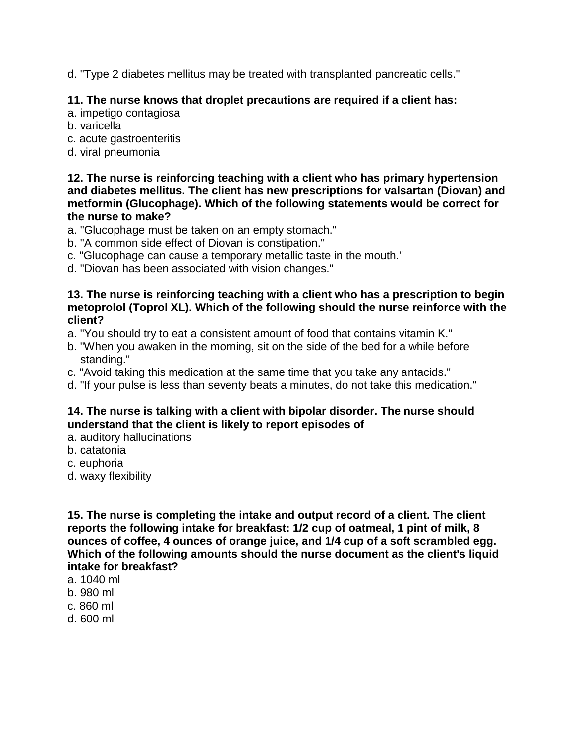d. "Type 2 diabetes mellitus may be treated with transplanted pancreatic cells."

## **11. The nurse knows that droplet precautions are required if a client has:**

- a. impetigo contagiosa
- b. varicella
- c. acute gastroenteritis
- d. viral pneumonia

**12. The nurse is reinforcing teaching with a client who has primary hypertension and diabetes mellitus. The client has new prescriptions for valsartan (Diovan) and metformin (Glucophage). Which of the following statements would be correct for the nurse to make?** 

- a. "Glucophage must be taken on an empty stomach."
- b. "A common side effect of Diovan is constipation."
- c. "Glucophage can cause a temporary metallic taste in the mouth."
- d. "Diovan has been associated with vision changes."

### **13. The nurse is reinforcing teaching with a client who has a prescription to begin metoprolol (Toprol XL). Which of the following should the nurse reinforce with the client?**

- a. "You should try to eat a consistent amount of food that contains vitamin K."
- b. "When you awaken in the morning, sit on the side of the bed for a while before standing."
- c. "Avoid taking this medication at the same time that you take any antacids."
- d. "If your pulse is less than seventy beats a minutes, do not take this medication."

## **14. The nurse is talking with a client with bipolar disorder. The nurse should understand that the client is likely to report episodes of**

- a. auditory hallucinations
- b. catatonia
- c. euphoria
- d. waxy flexibility

**15. The nurse is completing the intake and output record of a client. The client reports the following intake for breakfast: 1/2 cup of oatmeal, 1 pint of milk, 8 ounces of coffee, 4 ounces of orange juice, and 1/4 cup of a soft scrambled egg. Which of the following amounts should the nurse document as the client's liquid intake for breakfast?** 

- a. 1040 ml
- b. 980 ml
- c. 860 ml
- d. 600 ml